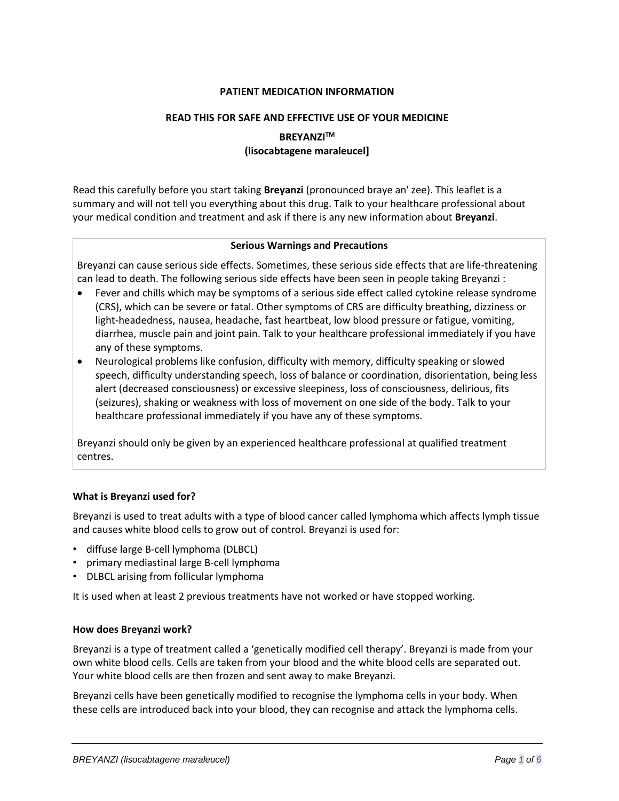## **PATIENT MEDICATION INFORMATION**

#### **READ THIS FOR SAFE AND EFFECTIVE USE OF YOUR MEDICINE**

# **BREYANZITM (lisocabtagene maraleucel]**

Read this carefully before you start taking **Breyanzi** (pronounced braye an' zee). This leaflet is a summary and will not tell you everything about this drug. Talk to your healthcare professional about your medical condition and treatment and ask if there is any new information about **Breyanzi**.

### **Serious Warnings and Precautions**

Breyanzi can cause serious side effects. Sometimes, these serious side effects that are life-threatening can lead to death. The following serious side effects have been seen in people taking Breyanzi :

- Fever and chills which may be symptoms of a serious side effect called cytokine release syndrome (CRS), which can be severe or fatal. Other symptoms of CRS are difficulty breathing, dizziness or light-headedness, nausea, headache, fast heartbeat, low blood pressure or fatigue, vomiting, diarrhea, muscle pain and joint pain. Talk to your healthcare professional immediately if you have any of these symptoms.
- Neurological problems like confusion, difficulty with memory, difficulty speaking or slowed speech, difficulty understanding speech, loss of balance or coordination, disorientation, being less alert (decreased consciousness) or excessive sleepiness, loss of consciousness, delirious, fits (seizures), shaking or weakness with loss of movement on one side of the body. Talk to your healthcare professional immediately if you have any of these symptoms.

Breyanzi should only be given by an experienced healthcare professional at qualified treatment centres.

## **What is Breyanzi used for?**

Breyanzi is used to treat adults with a type of blood cancer called lymphoma which affects lymph tissue and causes white blood cells to grow out of control. Breyanzi is used for:

- diffuse large B-cell lymphoma (DLBCL)
- primary mediastinal large B-cell lymphoma
- DLBCL arising from follicular lymphoma

It is used when at least 2 previous treatments have not worked or have stopped working.

## **How does Breyanzi work?**

Breyanzi is a type of treatment called a 'genetically modified cell therapy'. Breyanzi is made from your own white blood cells. Cells are taken from your blood and the white blood cells are separated out. Your white blood cells are then frozen and sent away to make Breyanzi.

Breyanzi cells have been genetically modified to recognise the lymphoma cells in your body. When these cells are introduced back into your blood, they can recognise and attack the lymphoma cells.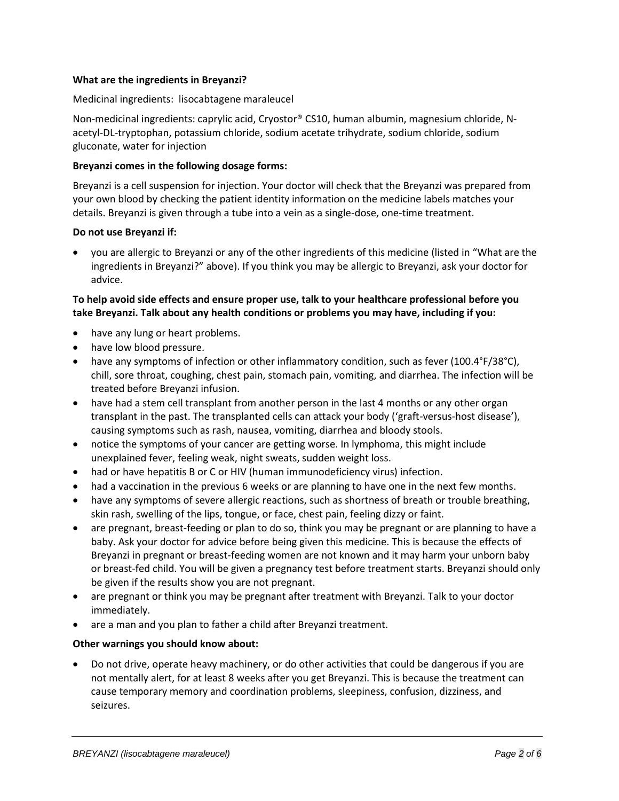## **What are the ingredients in Breyanzi?**

### Medicinal ingredients:lisocabtagene maraleucel

Non-medicinal ingredients: caprylic acid, Cryostor® CS10, human albumin, magnesium chloride, Nacetyl-DL-tryptophan, potassium chloride, sodium acetate trihydrate, sodium chloride, sodium gluconate, water for injection

### **Breyanzi comes in the following dosage forms:**

Breyanzi is a cell suspension for injection. Your doctor will check that the Breyanzi was prepared from your own blood by checking the patient identity information on the medicine labels matches your details. Breyanzi is given through a tube into a vein as a single-dose, one-time treatment.

### **Do not use Breyanzi if:**

• you are allergic to Breyanzi or any of the other ingredients of this medicine (listed in "What are the ingredients in Breyanzi?" above). If you think you may be allergic to Breyanzi, ask your doctor for advice.

## **To help avoid side effects and ensure proper use, talk to your healthcare professional before you take Breyanzi. Talk about any health conditions or problems you may have, including if you:**

- have any lung or heart problems.
- have low blood pressure.
- have any symptoms of infection or other inflammatory condition, such as fever (100.4°F/38°C), chill, sore throat, coughing, chest pain, stomach pain, vomiting, and diarrhea. The infection will be treated before Breyanzi infusion.
- have had a stem cell transplant from another person in the last 4 months or any other organ transplant in the past. The transplanted cells can attack your body ('graft-versus-host disease'), causing symptoms such as rash, nausea, vomiting, diarrhea and bloody stools.
- notice the symptoms of your cancer are getting worse. In lymphoma, this might include unexplained fever, feeling weak, night sweats, sudden weight loss.
- had or have hepatitis B or C or HIV (human immunodeficiency virus) infection.
- had a vaccination in the previous 6 weeks or are planning to have one in the next few months.
- have any symptoms of severe allergic reactions, such as shortness of breath or trouble breathing, skin rash, swelling of the lips, tongue, or face, chest pain, feeling dizzy or faint.
- are pregnant, breast-feeding or plan to do so, think you may be pregnant or are planning to have a baby. Ask your doctor for advice before being given this medicine. This is because the effects of Breyanzi in pregnant or breast-feeding women are not known and it may harm your unborn baby or breast-fed child. You will be given a pregnancy test before treatment starts. Breyanzi should only be given if the results show you are not pregnant.
- are pregnant or think you may be pregnant after treatment with Breyanzi. Talk to your doctor immediately.
- are a man and you plan to father a child after Breyanzi treatment.

## **Other warnings you should know about:**

• Do not drive, operate heavy machinery, or do other activities that could be dangerous if you are not mentally alert, for at least 8 weeks after you get Breyanzi. This is because the treatment can cause temporary memory and coordination problems, sleepiness, confusion, dizziness, and seizures.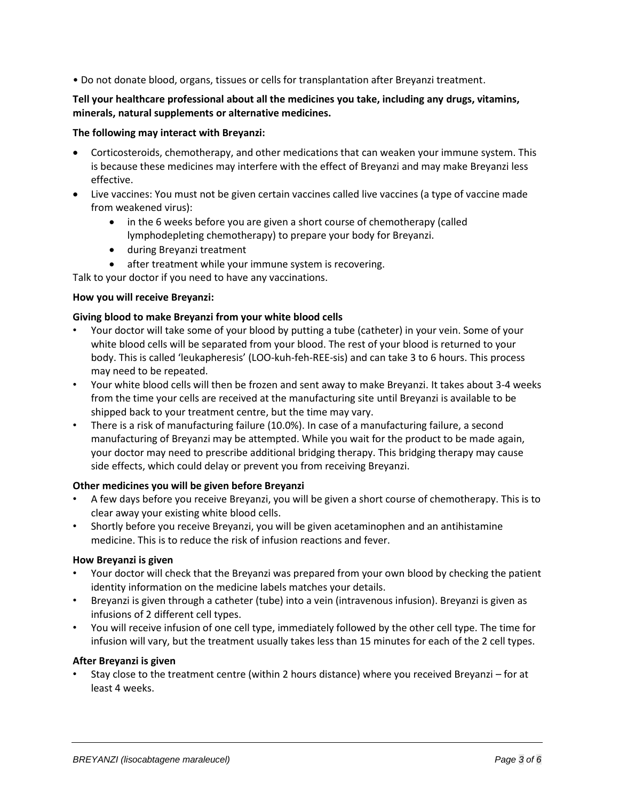• Do not donate blood, organs, tissues or cells for transplantation after Breyanzi treatment.

## **Tell your healthcare professional about all the medicines you take, including any drugs, vitamins, minerals, natural supplements or alternative medicines.**

## **The following may interact with Breyanzi:**

- Corticosteroids, chemotherapy, and other medications that can weaken your immune system. This is because these medicines may interfere with the effect of Breyanzi and may make Breyanzi less effective.
- Live vaccines: You must not be given certain vaccines called live vaccines (a type of vaccine made from weakened virus):
	- in the 6 weeks before you are given a short course of chemotherapy (called lymphodepleting chemotherapy) to prepare your body for Breyanzi.
	- during Breyanzi treatment
	- after treatment while your immune system is recovering.

Talk to your doctor if you need to have any vaccinations.

### **How you will receive Breyanzi:**

## **Giving blood to make Breyanzi from your white blood cells**

- Your doctor will take some of your blood by putting a tube (catheter) in your vein. Some of your white blood cells will be separated from your blood. The rest of your blood is returned to your body. This is called 'leukapheresis' (LOO-kuh-feh-REE-sis) and can take 3 to 6 hours. This process may need to be repeated.
- Your white blood cells will then be frozen and sent away to make Breyanzi. It takes about 3-4 weeks from the time your cells are received at the manufacturing site until Breyanzi is available to be shipped back to your treatment centre, but the time may vary.
- There is a risk of manufacturing failure (10.0%). In case of a manufacturing failure, a second manufacturing of Breyanzi may be attempted. While you wait for the product to be made again, your doctor may need to prescribe additional bridging therapy. This bridging therapy may cause side effects, which could delay or prevent you from receiving Breyanzi.

## **Other medicines you will be given before Breyanzi**

- A few days before you receive Breyanzi, you will be given a short course of chemotherapy. This is to clear away your existing white blood cells.
- Shortly before you receive Breyanzi, you will be given acetaminophen and an antihistamine medicine. This is to reduce the risk of infusion reactions and fever.

#### **How Breyanzi is given**

- Your doctor will check that the Breyanzi was prepared from your own blood by checking the patient identity information on the medicine labels matches your details.
- Breyanzi is given through a catheter (tube) into a vein (intravenous infusion). Breyanzi is given as infusions of 2 different cell types.
- You will receive infusion of one cell type, immediately followed by the other cell type. The time for infusion will vary, but the treatment usually takes less than 15 minutes for each of the 2 cell types.

#### **After Breyanzi is given**

• Stay close to the treatment centre (within 2 hours distance) where you received Breyanzi – for at least 4 weeks.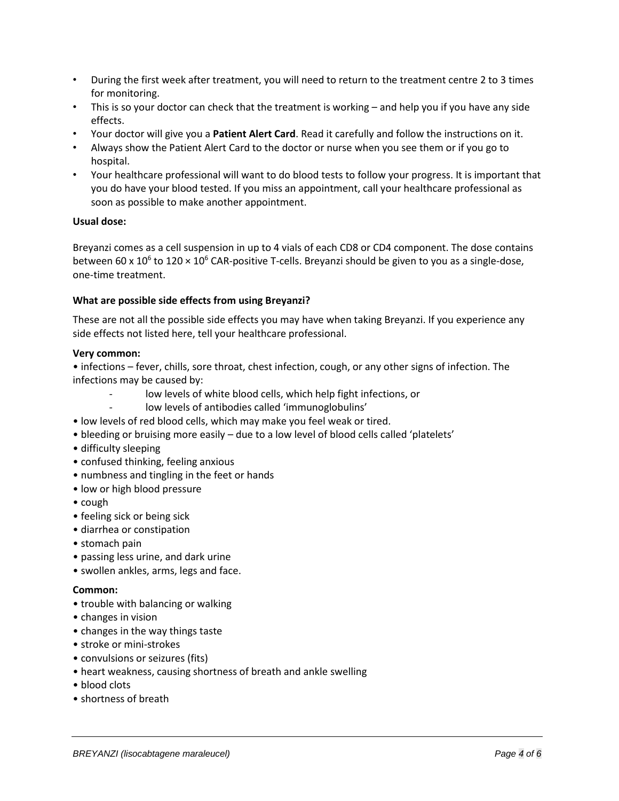- During the first week after treatment, you will need to return to the treatment centre 2 to 3 times for monitoring.
- This is so your doctor can check that the treatment is working and help you if you have any side effects.
- Your doctor will give you a **Patient Alert Card**. Read it carefully and follow the instructions on it.
- Always show the Patient Alert Card to the doctor or nurse when you see them or if you go to hospital.
- Your healthcare professional will want to do blood tests to follow your progress. It is important that you do have your blood tested. If you miss an appointment, call your healthcare professional as soon as possible to make another appointment.

### **Usual dose:**

Breyanzi comes as a cell suspension in up to 4 vials of each CD8 or CD4 component. The dose contains between 60 x 10<sup>6</sup> to 120 × 10<sup>6</sup> CAR-positive T-cells. Breyanzi should be given to you as a single-dose, one-time treatment.

## **What are possible side effects from using Breyanzi?**

These are not all the possible side effects you may have when taking Breyanzi. If you experience any side effects not listed here, tell your healthcare professional.

### **Very common:**

• infections – fever, chills, sore throat, chest infection, cough, or any other signs of infection. The infections may be caused by:

- low levels of white blood cells, which help fight infections, or
- low levels of antibodies called 'immunoglobulins'
- low levels of red blood cells, which may make you feel weak or tired.
- bleeding or bruising more easily due to a low level of blood cells called 'platelets'
- difficulty sleeping
- confused thinking, feeling anxious
- numbness and tingling in the feet or hands
- low or high blood pressure
- cough
- feeling sick or being sick
- diarrhea or constipation
- stomach pain
- passing less urine, and dark urine
- swollen ankles, arms, legs and face.

#### **Common:**

- trouble with balancing or walking
- changes in vision
- changes in the way things taste
- stroke or mini-strokes
- convulsions or seizures (fits)
- heart weakness, causing shortness of breath and ankle swelling
- blood clots
- shortness of breath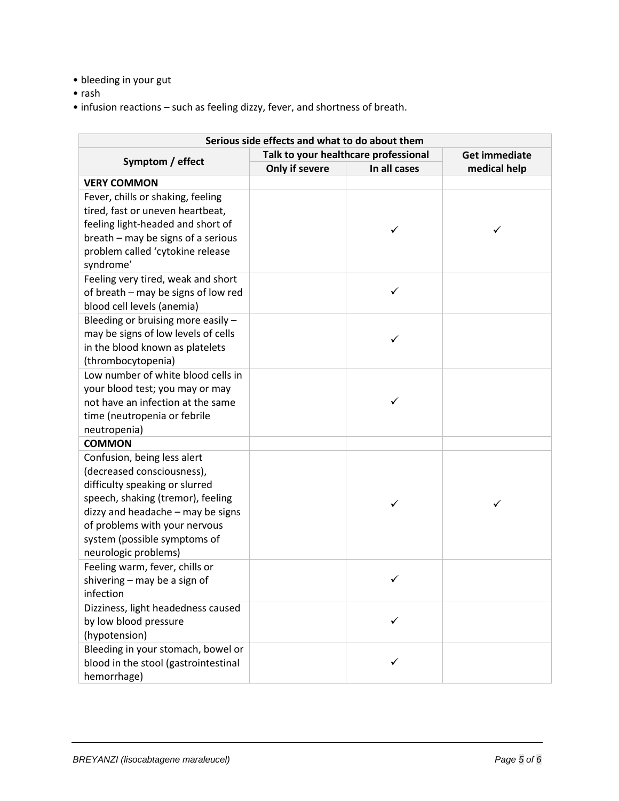- bleeding in your gut
- rash
- infusion reactions such as feeling dizzy, fever, and shortness of breath.

| Serious side effects and what to do about them           |                                      |              |                      |
|----------------------------------------------------------|--------------------------------------|--------------|----------------------|
| Symptom / effect                                         | Talk to your healthcare professional |              | <b>Get immediate</b> |
|                                                          | Only if severe                       | In all cases | medical help         |
| <b>VERY COMMON</b>                                       |                                      |              |                      |
| Fever, chills or shaking, feeling                        |                                      |              |                      |
| tired, fast or uneven heartbeat,                         |                                      |              |                      |
| feeling light-headed and short of                        |                                      | ✓            | ✓                    |
| breath - may be signs of a serious                       |                                      |              |                      |
| problem called 'cytokine release                         |                                      |              |                      |
| syndrome'                                                |                                      |              |                      |
| Feeling very tired, weak and short                       |                                      |              |                      |
| of breath - may be signs of low red                      |                                      | ✓            |                      |
| blood cell levels (anemia)                               |                                      |              |                      |
| Bleeding or bruising more easily -                       |                                      |              |                      |
| may be signs of low levels of cells                      |                                      | ✓            |                      |
| in the blood known as platelets                          |                                      |              |                      |
| (thrombocytopenia)<br>Low number of white blood cells in |                                      |              |                      |
| your blood test; you may or may                          |                                      |              |                      |
| not have an infection at the same                        |                                      | ✓            |                      |
| time (neutropenia or febrile                             |                                      |              |                      |
| neutropenia)                                             |                                      |              |                      |
| <b>COMMON</b>                                            |                                      |              |                      |
| Confusion, being less alert                              |                                      |              |                      |
| (decreased consciousness),                               |                                      |              |                      |
| difficulty speaking or slurred                           |                                      |              |                      |
| speech, shaking (tremor), feeling                        |                                      | ✓            | ✓                    |
| dizzy and headache - may be signs                        |                                      |              |                      |
| of problems with your nervous                            |                                      |              |                      |
| system (possible symptoms of                             |                                      |              |                      |
| neurologic problems)                                     |                                      |              |                      |
| Feeling warm, fever, chills or                           |                                      |              |                      |
| shivering - may be a sign of                             |                                      | ✓            |                      |
| infection                                                |                                      |              |                      |
| Dizziness, light headedness caused                       |                                      |              |                      |
| by low blood pressure                                    |                                      | ✓            |                      |
| (hypotension)                                            |                                      |              |                      |
| Bleeding in your stomach, bowel or                       |                                      |              |                      |
| blood in the stool (gastrointestinal                     |                                      | ✓            |                      |
| hemorrhage)                                              |                                      |              |                      |